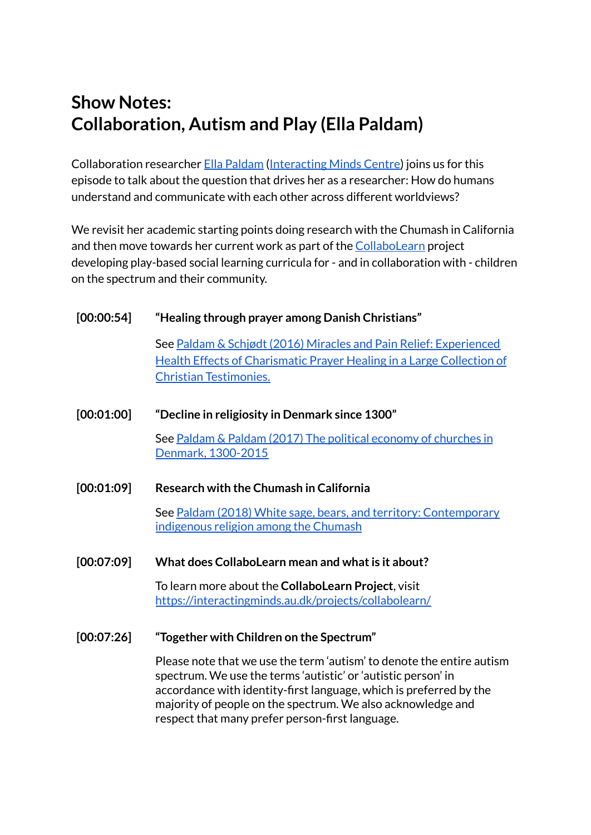# **Show Notes: Collaboration, Autism and Play (Ella Paldam)**

Collaboration researcher Ella [Paldam](https://pure.au.dk/portal/en/persons/ella-paldam(41d2b2fd-a1b5-4bf6-a265-1ecba95331fc).html) ([Interacting](https://interactingminds.au.dk/) Minds Centre) joins us for this episode to talk about the question that drives her as a researcher: How do humans understand and communicate with each other across different worldviews?

We revisit her academic starting points doing research with the Chumash in California and then move towards her current work as part of the [CollaboLearn](https://interactingminds.au.dk/projects/collabolearn/) project developing play-based social learning curricula for - and in collaboration with - children on the spectrum and their community.

## **[00:00:54] "Healing through prayer among Danish Christians"**

See Paldam & Schjødt (2016) Miracles and Pain Relief: [Experienced](https://pure.au.dk/portal/en/publications/miracles-and-pain-relief(82fc73e8-ee9a-4709-a6c5-138719fe1c22).html) Health Effects of [Charismatic](https://pure.au.dk/portal/en/publications/miracles-and-pain-relief(82fc73e8-ee9a-4709-a6c5-138719fe1c22).html) Prayer Healing in a Large Collection of Christian [Testimonies.](https://pure.au.dk/portal/en/publications/miracles-and-pain-relief(82fc73e8-ee9a-4709-a6c5-138719fe1c22).html)

## **[00:01:00] "Decline in religiosity in Denmark since 1300"**

See Paldam & Paldam (2017) The political [economy](https://pure.au.dk/portal/en/publications/the-political-economy-of-churches-in-denmark-13002015(cf71d2dc-da7a-4aa5-95f2-ae10c69b7994).html) of churches in Denmark, [1300-2015](https://pure.au.dk/portal/en/publications/the-political-economy-of-churches-in-denmark-13002015(cf71d2dc-da7a-4aa5-95f2-ae10c69b7994).html)

**[00:01:09] Research with the Chumash in California**

See Paldam (2018) White sage, bears, and territory: [Contemporary](https://pure.au.dk/portal/en/publications/white-sage-bears-and-territory-contemporary-indigenous-religion-among-the-chumash(ddd860f9-a9ef-4bf6-a54c-42a2f0c13649).html) [indigenous](https://pure.au.dk/portal/en/publications/white-sage-bears-and-territory-contemporary-indigenous-religion-among-the-chumash(ddd860f9-a9ef-4bf6-a54c-42a2f0c13649).html) religion among the Chumash

## **[00:07:09] What does CollaboLearn mean and whatis it about?**

To learn more about the **CollaboLearn Project**, visit <https://interactingminds.au.dk/projects/collabolearn/>

**[00:07:26] "Together with Children on the Spectrum"**

Please note that we use the term 'autism' to denote the entire autism spectrum. We use the terms 'autistic' or 'autistic person' in accordance with identity-first language, which is preferred by the majority of people on the spectrum. We also acknowledge and respect that many prefer person-first language.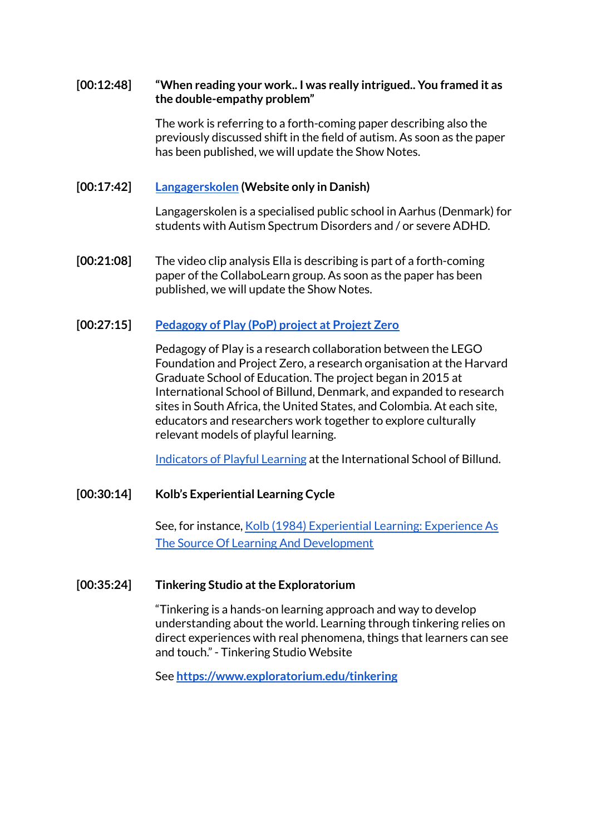#### **[00:12:48] "When reading your work.. I was really intrigued.. You framed it as the double-empathy problem"**

The work is referring to a forth-coming paper describing also the previously discussed shift in the field of autism. As soon as the paper has been published, we will update the Show Notes.

#### **[00:17:42] [Langagerskolen](https://langagerskolen.aarhus.dk/) (Website only in Danish)**

Langagerskolen is a specialised public school in Aarhus (Denmark) for students with Autism Spectrum Disorders and / or severe ADHD.

**[00:21:08]** The video clip analysis Ella is describing is part of a forth-coming paper of the CollaboLearn group. As soon as the paper has been published, we will update the Show Notes.

## **[00:27:15] [Pedagogy](http://projectzeroebx76xq5h9.devcloud.acquia-sites.com/projects/pedagogy-of-play) of Play (PoP) project at Projezt Zero**

Pedagogy of Play is a research collaboration between the LEGO Foundation and Project Zero, a research organisation at the Harvard Graduate School of Education. The project began in 2015 at International School of Billund, Denmark, and expanded to research sites in South Africa, the United States, and Colombia. At each site, educators and researchers work together to explore culturally relevant models of playful learning.

[Indicators](http://projectzeroebx76xq5h9.devcloud.acquia-sites.com/resources/indicators-of-playful-learning-international-school-of-billund) of Playful Learning at the International School of Billund.

#### **[00:30:14] Kolb's Experiential Learning Cycle**

See, for instance, Kolb (1984) [Experiential](https://www.researchgate.net/publication/235701029_Experiential_Learning_Experience_As_The_Source_Of_Learning_And_Development) Learning: Experience As The Source Of Learning And [Development](https://www.researchgate.net/publication/235701029_Experiential_Learning_Experience_As_The_Source_Of_Learning_And_Development)

#### **[00:35:24] Tinkering Studio atthe Exploratorium**

"Tinkering is a hands-on learning approach and way to develop understanding about the world. Learning through tinkering relies on direct experiences with real phenomena, things that learners can see and touch." - Tinkering Studio Website

See **<https://www.exploratorium.edu/tinkering>**